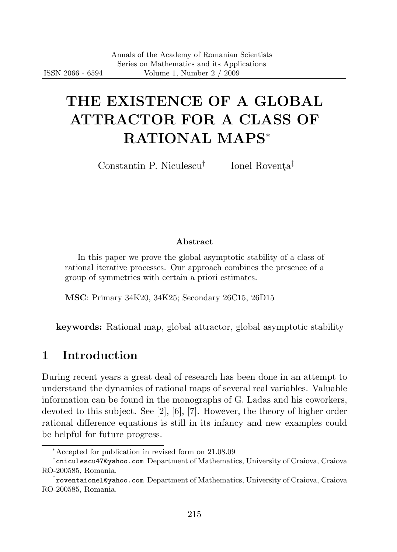# THE EXISTENCE OF A GLOBAL ATTRACTOR FOR A CLASS OF RATIONAL MAPS<sup>∗</sup>

Constantin P. Niculescu†

Ionel Roventa<sup>‡</sup>

#### Abstract

In this paper we prove the global asymptotic stability of a class of rational iterative processes. Our approach combines the presence of a group of symmetries with certain a priori estimates.

MSC: Primary 34K20, 34K25; Secondary 26C15, 26D15

keywords: Rational map, global attractor, global asymptotic stability

#### 1 Introduction

During recent years a great deal of research has been done in an attempt to understand the dynamics of rational maps of several real variables. Valuable information can be found in the monographs of G. Ladas and his coworkers, devoted to this subject. See [2], [6], [7]. However, the theory of higher order rational difference equations is still in its infancy and new examples could be helpful for future progress.

<sup>∗</sup>Accepted for publication in revised form on 21.08.09

<sup>†</sup> cniculescu47@yahoo.com Department of Mathematics, University of Craiova, Craiova RO-200585, Romania.

<sup>‡</sup> roventaionel@yahoo.com Department of Mathematics, University of Craiova, Craiova RO-200585, Romania.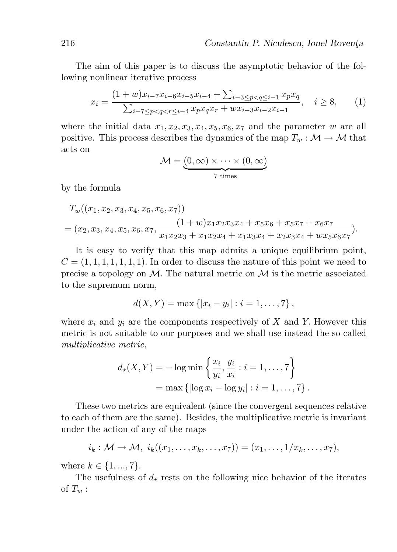The aim of this paper is to discuss the asymptotic behavior of the following nonlinear iterative process

$$
x_i = \frac{(1+w)x_{i-7}x_{i-6}x_{i-5}x_{i-4} + \sum_{i-3 \le p < q \le i-1} x_p x_q}{\sum_{i-7 \le p < q < r \le i-4} x_p x_q x_r + w x_{i-3} x_{i-2} x_{i-1}}, \quad i \ge 8,
$$
 (1)

where the initial data  $x_1, x_2, x_3, x_4, x_5, x_6, x_7$  and the parameter w are all positive. This process describes the dynamics of the map  $T_w : \mathcal{M} \to \mathcal{M}$  that acts on

$$
\mathcal{M} = \underbrace{(0, \infty) \times \cdots \times (0, \infty)}_{7 \text{ times}}
$$

by the formula

$$
T_w((x_1, x_2, x_3, x_4, x_5, x_6, x_7))
$$
  
=  $(x_2, x_3, x_4, x_5, x_6, x_7, \frac{(1+w)x_1x_2x_3x_4 + x_5x_6 + x_5x_7 + x_6x_7}{x_1x_2x_3 + x_1x_2x_4 + x_1x_3x_4 + x_2x_3x_4 + wx_5x_6x_7}).$ 

It is easy to verify that this map admits a unique equilibrium point,  $C = (1, 1, 1, 1, 1, 1, 1)$ . In order to discuss the nature of this point we need to precise a topology on  $\mathcal{M}$ . The natural metric on  $\mathcal{M}$  is the metric associated to the supremum norm,

$$
d(X,Y) = \max \{ |x_i - y_i| : i = 1, ..., 7 \},
$$

where  $x_i$  and  $y_i$  are the components respectively of X and Y. However this metric is not suitable to our purposes and we shall use instead the so called multiplicative metric,

$$
d_{\star}(X, Y) = -\log \min \left\{ \frac{x_i}{y_i}, \frac{y_i}{x_i} : i = 1, ..., 7 \right\}
$$
  
= max {  $\left\{ \log x_i - \log y_i \right\} : i = 1, ..., 7 \right\}.$ 

These two metrics are equivalent (since the convergent sequences relative to each of them are the same). Besides, the multiplicative metric is invariant under the action of any of the maps

$$
i_k: \mathcal{M} \to \mathcal{M}, i_k((x_1,\ldots,x_k,\ldots,x_7))=(x_1,\ldots,1/x_k,\ldots,x_7),
$$

where  $k \in \{1, ..., 7\}$ .

The usefulness of  $d_{\star}$  rests on the following nice behavior of the iterates of  $T_w$ :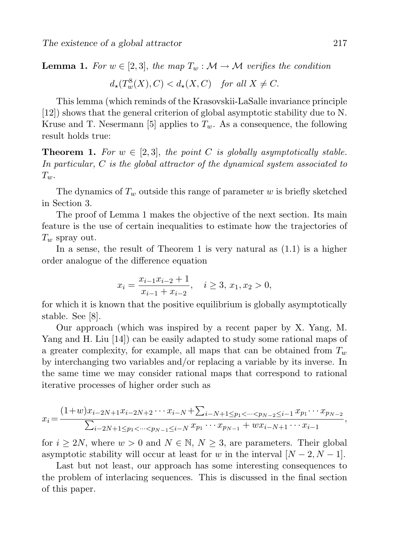**Lemma 1.** For  $w \in [2,3]$ , the map  $T_w : \mathcal{M} \to \mathcal{M}$  verifies the condition

$$
d_{\star}(T_w^8(X), C) < d_{\star}(X, C) \quad \text{for all } X \neq C.
$$

This lemma (which reminds of the Krasovskii-LaSalle invariance principle [12]) shows that the general criterion of global asymptotic stability due to N. Kruse and T. Nesermann [5] applies to  $T_w$ . As a consequence, the following result holds true:

**Theorem 1.** For  $w \in [2,3]$ , the point C is globally asymptotically stable. In particular, C is the global attractor of the dynamical system associated to  $T_{w}$ .

The dynamics of  $T_w$  outside this range of parameter w is briefly sketched in Section 3.

The proof of Lemma 1 makes the objective of the next section. Its main feature is the use of certain inequalities to estimate how the trajectories of  $T_w$  spray out.

In a sense, the result of Theorem 1 is very natural as  $(1.1)$  is a higher order analogue of the difference equation

$$
x_i = \frac{x_{i-1}x_{i-2}+1}{x_{i-1}+x_{i-2}}, \quad i \ge 3, x_1, x_2 > 0,
$$

for which it is known that the positive equilibrium is globally asymptotically stable. See [8].

Our approach (which was inspired by a recent paper by X. Yang, M. Yang and H. Liu [14]) can be easily adapted to study some rational maps of a greater complexity, for example, all maps that can be obtained from  $T_w$ by interchanging two variables and/or replacing a variable by its inverse. In the same time we may consider rational maps that correspond to rational iterative processes of higher order such as

$$
x_i = \frac{(1+w)x_{i-2N+1}x_{i-2N+2}\cdots x_{i-N} + \sum_{i-N+1 \le p_1 < \cdots < p_{N-2} \le i-1} x_{p_1}\cdots x_{p_{N-2}}}{\sum_{i-2N+1 \le p_1 < \cdots < p_{N-1} \le i-N} x_{p_1}\cdots x_{p_{N-1}} + wx_{i-N+1}\cdots x_{i-1}},
$$

for  $i \geq 2N$ , where  $w > 0$  and  $N \in \mathbb{N}$ ,  $N \geq 3$ , are parameters. Their global asymptotic stability will occur at least for w in the interval  $[N-2, N-1]$ .

Last but not least, our approach has some interesting consequences to the problem of interlacing sequences. This is discussed in the final section of this paper.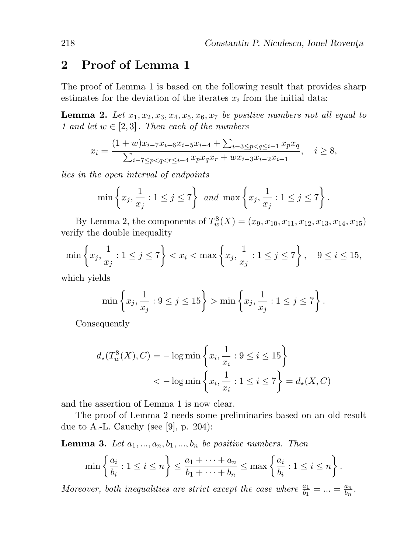# 2 Proof of Lemma 1

The proof of Lemma 1 is based on the following result that provides sharp estimates for the deviation of the iterates  $x_i$  from the initial data:

**Lemma 2.** Let  $x_1, x_2, x_3, x_4, x_5, x_6, x_7$  be positive numbers not all equal to 1 and let  $w \in [2, 3]$ . Then each of the numbers

$$
x_i = \frac{(1+w)x_{i-7}x_{i-6}x_{i-5}x_{i-4} + \sum_{i-3 \le p < q \le i-1} x_p x_q}{\sum_{i-7 \le p < q < r \le i-4} x_p x_q x_r + w x_{i-3} x_{i-2} x_{i-1}}, \quad i \ge 8,
$$

lies in the open interval of endpoints

$$
\min\left\{x_j,\frac{1}{x_j}:1\leq j\leq 7\right\}\ and\ \max\left\{x_j,\frac{1}{x_j}:1\leq j\leq 7\right\}.
$$

By Lemma 2, the components of  $T_w^8(X) = (x_9, x_{10}, x_{11}, x_{12}, x_{13}, x_{14}, x_{15})$ verify the double inequality

$$
\min\left\{x_j, \frac{1}{x_j} : 1 \le j \le 7\right\} < x_i < \max\left\{x_j, \frac{1}{x_j} : 1 \le j \le 7\right\}, \quad 9 \le i \le 15,
$$

which yields

$$
\min \left\{ x_j, \frac{1}{x_j} : 9 \le j \le 15 \right\} > \min \left\{ x_j, \frac{1}{x_j} : 1 \le j \le 7 \right\}.
$$

Consequently

$$
d_{\star}(T_w^8(X), C) = -\log \min \left\{ x_i, \frac{1}{x_i} : 9 \le i \le 15 \right\}
$$
  
< 
$$
< -\log \min \left\{ x_i, \frac{1}{x_i} : 1 \le i \le 7 \right\} = d_{\star}(X, C)
$$

and the assertion of Lemma 1 is now clear.

The proof of Lemma 2 needs some preliminaries based on an old result due to A.-L. Cauchy (see [9], p. 204):

**Lemma 3.** Let  $a_1, ..., a_n, b_1, ..., b_n$  be positive numbers. Then

$$
\min\left\{\frac{a_i}{b_i}: 1 \leq i \leq n\right\} \leq \frac{a_1 + \dots + a_n}{b_1 + \dots + b_n} \leq \max\left\{\frac{a_i}{b_i}: 1 \leq i \leq n\right\}.
$$

Moreover, both inequalities are strict except the case where  $\frac{a_1}{b_1} = ... = \frac{a_n}{b_n}$  $\frac{a_n}{b_n}$ .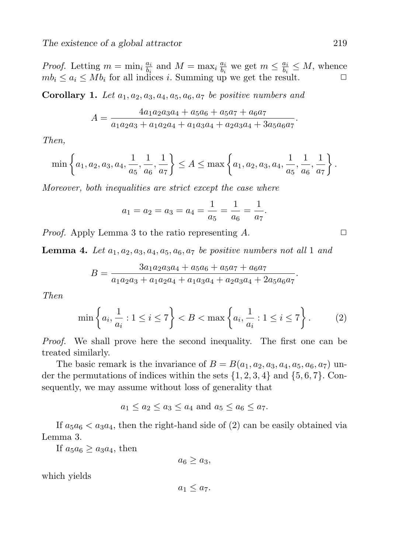*Proof.* Letting  $m = \min_i \frac{a_i}{b_i}$  $\frac{a_i}{b_i}$  and  $M = \max_i \frac{a_i}{b_i}$  $\frac{a_i}{b_i}$  we get  $m \leq \frac{a_i}{b_i}$  $\frac{a_i}{b_i} \leq M$ , whence  $mb_i \leq a_i \leq Mb_i$  for all indices i. Summing up we get the result.

**Corollary 1.** Let  $a_1, a_2, a_3, a_4, a_5, a_6, a_7$  be positive numbers and

$$
A = \frac{4a_1a_2a_3a_4 + a_5a_6 + a_5a_7 + a_6a_7}{a_1a_2a_3 + a_1a_2a_4 + a_1a_3a_4 + a_2a_3a_4 + 3a_5a_6a_7}.
$$

Then,

$$
\min\left\{a_1, a_2, a_3, a_4, \frac{1}{a_5}, \frac{1}{a_6}, \frac{1}{a_7}\right\} \le A \le \max\left\{a_1, a_2, a_3, a_4, \frac{1}{a_5}, \frac{1}{a_6}, \frac{1}{a_7}\right\}.
$$

Moreover, both inequalities are strict except the case where

$$
a_1 = a_2 = a_3 = a_4 = \frac{1}{a_5} = \frac{1}{a_6} = \frac{1}{a_7}.
$$

*Proof.* Apply Lemma 3 to the ratio representing  $A$ .  $\Box$ 

**Lemma 4.** Let  $a_1, a_2, a_3, a_4, a_5, a_6, a_7$  be positive numbers not all 1 and

$$
B = \frac{3a_1a_2a_3a_4 + a_5a_6 + a_5a_7 + a_6a_7}{a_1a_2a_3 + a_1a_2a_4 + a_1a_3a_4 + a_2a_3a_4 + 2a_5a_6a_7}.
$$

Then

$$
\min\left\{a_i, \frac{1}{a_i} : 1 \le i \le 7\right\} < B < \max\left\{a_i, \frac{1}{a_i} : 1 \le i \le 7\right\}.\tag{2}
$$

Proof. We shall prove here the second inequality. The first one can be treated similarly.

The basic remark is the invariance of  $B = B(a_1, a_2, a_3, a_4, a_5, a_6, a_7)$  under the permutations of indices within the sets  $\{1, 2, 3, 4\}$  and  $\{5, 6, 7\}$ . Consequently, we may assume without loss of generality that

$$
a_1 \le a_2 \le a_3 \le a_4
$$
 and  $a_5 \le a_6 \le a_7$ .

If  $a_5a_6 < a_3a_4$ , then the right-hand side of (2) can be easily obtained via Lemma 3.

If  $a_5a_6 \geq a_3a_4$ , then

 $a_6 \geq a_3$ 

which yields

 $a_1 \leq a_7$ .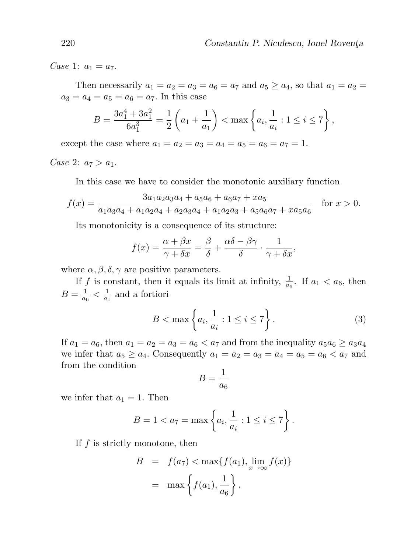Case 1:  $a_1 = a_7$ .

Then necessarily  $a_1 = a_2 = a_3 = a_6 = a_7$  and  $a_5 \ge a_4$ , so that  $a_1 = a_2 = a_3$  $a_3 = a_4 = a_5 = a_6 = a_7$ . In this case

$$
B = \frac{3a_1^4 + 3a_1^2}{6a_1^3} = \frac{1}{2} \left( a_1 + \frac{1}{a_1} \right) < \max \left\{ a_i, \frac{1}{a_i} : 1 \le i \le 7 \right\},\
$$

except the case where  $a_1 = a_2 = a_3 = a_4 = a_5 = a_6 = a_7 = 1$ .

Case 2:  $a_7 > a_1$ .

In this case we have to consider the monotonic auxiliary function

$$
f(x) = \frac{3a_1a_2a_3a_4 + a_5a_6 + a_6a_7 + xa_5}{a_1a_3a_4 + a_1a_2a_4 + a_2a_3a_4 + a_1a_2a_3 + a_5a_6a_7 + xa_5a_6} \quad \text{for } x > 0.
$$

Its monotonicity is a consequence of its structure:

$$
f(x) = \frac{\alpha + \beta x}{\gamma + \delta x} = \frac{\beta}{\delta} + \frac{\alpha \delta - \beta \gamma}{\delta} \cdot \frac{1}{\gamma + \delta x},
$$

where  $\alpha, \beta, \delta, \gamma$  are positive parameters.

If f is constant, then it equals its limit at infinity,  $\frac{1}{a_6}$ . If  $a_1 < a_6$ , then  $B=\frac{1}{a}$  $\frac{1}{a_6} < \frac{1}{a_1}$  $\frac{1}{a_1}$  and a fortiori

$$
B < \max\left\{a_i, \frac{1}{a_i} : 1 \le i \le 7\right\}.\tag{3}
$$

If  $a_1 = a_6$ , then  $a_1 = a_2 = a_3 = a_6 < a_7$  and from the inequality  $a_5a_6 \ge a_3a_4$ we infer that  $a_5 \ge a_4$ . Consequently  $a_1 = a_2 = a_3 = a_4 = a_5 = a_6 < a_7$  and from the condition

$$
B=\frac{1}{a_6}
$$

we infer that  $a_1 = 1$ . Then

$$
B = 1 < a_7 = \max\left\{a_i, \frac{1}{a_i} : 1 \le i \le 7\right\}.
$$

If  $f$  is strictly monotone, then

$$
B = f(a_7) < \max\{f(a_1), \lim_{x \to \infty} f(x)\}
$$

$$
= \max\left\{f(a_1), \frac{1}{a_6}\right\}.
$$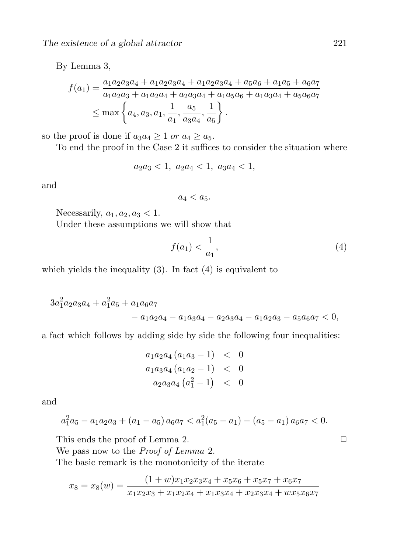By Lemma 3,

$$
f(a_1) = \frac{a_1 a_2 a_3 a_4 + a_1 a_2 a_3 a_4 + a_1 a_2 a_3 a_4 + a_5 a_6 + a_1 a_5 + a_6 a_7}{a_1 a_2 a_3 + a_1 a_2 a_4 + a_2 a_3 a_4 + a_1 a_5 a_6 + a_1 a_3 a_4 + a_5 a_6 a_7}
$$
  
\n
$$
\leq \max \left\{ a_4, a_3, a_1, \frac{1}{a_1}, \frac{a_5}{a_3 a_4}, \frac{1}{a_5} \right\}.
$$

so the proof is done if  $a_3a_4 \geq 1$  or  $a_4 \geq a_5$ .

To end the proof in the Case 2 it suffices to consider the situation where

 $a_2a_3 < 1, a_2a_4 < 1, a_3a_4 < 1,$ 

and

 $a_4 < a_5.$ 

Necessarily,  $a_1, a_2, a_3 < 1$ .

Under these assumptions we will show that

$$
f(a_1) < \frac{1}{a_1},\tag{4}
$$

which yields the inequality  $(3)$ . In fact  $(4)$  is equivalent to

$$
3a_1^2a_2a_3a_4 + a_1^2a_5 + a_1a_6a_7 - a_1a_3a_4 - a_2a_3a_4 - a_1a_2a_3 - a_5a_6a_7 < 0,
$$

a fact which follows by adding side by side the following four inequalities:

$$
a_1 a_2 a_4 (a_1 a_3 - 1) < 0
$$
\n
$$
a_1 a_3 a_4 (a_1 a_2 - 1) < 0
$$
\n
$$
a_2 a_3 a_4 (a_1^2 - 1) < 0
$$

and

$$
a_1^2a_5 - a_1a_2a_3 + (a_1 - a_5)a_6a_7 < a_1^2(a_5 - a_1) - (a_5 - a_1)a_6a_7 < 0.
$$

This ends the proof of Lemma 2.  $\Box$ 

We pass now to the *Proof of Lemma* 2.

The basic remark is the monotonicity of the iterate

$$
x_8 = x_8(w) = \frac{(1+w)x_1x_2x_3x_4 + x_5x_6 + x_5x_7 + x_6x_7}{x_1x_2x_3 + x_1x_2x_4 + x_1x_3x_4 + x_2x_3x_4 + wx_5x_6x_7}
$$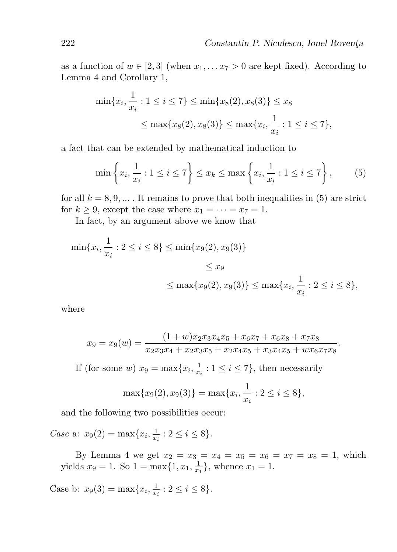as a function of  $w \in [2,3]$  (when  $x_1, \ldots x_7 > 0$  are kept fixed). According to Lemma 4 and Corollary 1,

$$
\min\{x_i, \frac{1}{x_i} : 1 \le i \le 7\} \le \min\{x_8(2), x_8(3)\} \le x_8
$$
  

$$
\le \max\{x_8(2), x_8(3)\} \le \max\{x_i, \frac{1}{x_i} : 1 \le i \le 7\},
$$

a fact that can be extended by mathematical induction to

$$
\min\left\{x_i, \frac{1}{x_i} : 1 \le i \le 7\right\} \le x_k \le \max\left\{x_i, \frac{1}{x_i} : 1 \le i \le 7\right\},\tag{5}
$$

for all  $k = 8, 9, \ldots$ . It remains to prove that both inequalities in (5) are strict for  $k \geq 9$ , except the case where  $x_1 = \cdots = x_7 = 1$ .

In fact, by an argument above we know that

$$
\min\{x_i, \frac{1}{x_i} : 2 \le i \le 8\} \le \min\{x_9(2), x_9(3)\}\
$$
  

$$
\le x_9
$$
  

$$
\le \max\{x_9(2), x_9(3)\} \le \max\{x_i, \frac{1}{x_i} : 2 \le i \le 8\},
$$

where

$$
x_9 = x_9(w) = \frac{(1+w)x_2x_3x_4x_5 + x_6x_7 + x_6x_8 + x_7x_8}{x_2x_3x_4 + x_2x_3x_5 + x_2x_4x_5 + x_3x_4x_5 + wx_6x_7x_8}.
$$

If (for some w)  $x_9 = \max\{x_i, \frac{1}{x}\}$  $\frac{1}{x_i}: 1 \leq i \leq 7$ , then necessarily

$$
\max\{x_9(2), x_9(3)\} = \max\{x_i, \frac{1}{x_i} : 2 \le i \le 8\},\
$$

and the following two possibilities occur:

Case a:  $x_9(2) = \max\{x_i, \frac{1}{x}\}$  $\frac{1}{x_i}$  :  $2 \leq i \leq 8$ .

By Lemma 4 we get  $x_2 = x_3 = x_4 = x_5 = x_6 = x_7 = x_8 = 1$ , which yields  $x_9 = 1$ . So  $1 = \max\{1, x_1, \frac{1}{x_1}\}$  $\frac{1}{x_1}$ , whence  $x_1 = 1$ .

Case b:  $x_9(3) = \max\{x_i, \frac{1}{x}\}$  $\frac{1}{x_i}$  :  $2 \leq i \leq 8$ .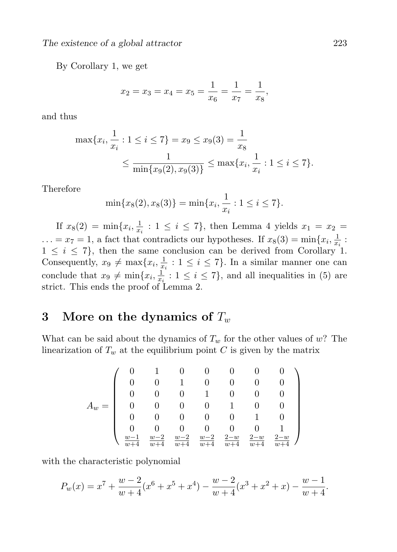By Corollary 1, we get

$$
x_2 = x_3 = x_4 = x_5 = \frac{1}{x_6} = \frac{1}{x_7} = \frac{1}{x_8}
$$

and thus

$$
\max\{x_i, \frac{1}{x_i} : 1 \le i \le 7\} = x_9 \le x_9(3) = \frac{1}{x_8}
$$
  
 
$$
\le \frac{1}{\min\{x_9(2), x_9(3)\}} \le \max\{x_i, \frac{1}{x_i} : 1 \le i \le 7\}.
$$

Therefore

$$
\min\{x_8(2), x_8(3)\} = \min\{x_i, \frac{1}{x_i} : 1 \le i \le 7\}.
$$

If  $x_8(2) = \min\{x_i, \frac{1}{x_i}\}$  $\frac{1}{x_i}$ :  $1 \leq i \leq 7$ , then Lemma 4 yields  $x_1 = x_2 =$  $\ldots = x_7 = 1$ , a fact that contradicts our hypotheses. If  $x_8(3) = \min\{x_i, \frac{1}{x}\}$  $\frac{1}{x_i}$ :  $1 \leq i \leq 7$ , then the same conclusion can be derived from Corollary 1. Consequently,  $x_9 \neq \max\{x_i, \frac{1}{x}\}$  $\frac{1}{x_i}: 1 \leq i \leq 7$ . In a similar manner one can conclude that  $x_9 \neq \min\{x_i, \frac{1}{x_i}\}$  $\frac{1}{x_i}$ :  $1 \leq i \leq 7$ , and all inequalities in (5) are strict. This ends the proof of Lemma 2.

# 3 More on the dynamics of  $T_w$

What can be said about the dynamics of  $T_w$  for the other values of w? The linearization of  $T_w$  at the equilibrium point C is given by the matrix

$$
A_w=\left(\begin{array}{cccccc} 0&1&0&0&0&0&0\\ 0&0&1&0&0&0&0\\ 0&0&0&1&0&0&0\\ 0&0&0&0&1&0&0\\ 0&0&0&0&0&1&0\\ 0&0&0&0&0&0&1\\ \frac{w-1}{w+4}&\frac{w-2}{w+4}&\frac{w-2}{w+4}&\frac{w-2}{w+4}&\frac{2-w}{w+4}&\frac{2-w}{w+4} \end{array}\right)
$$

with the characteristic polynomial

$$
P_w(x) = x^7 + \frac{w-2}{w+4}(x^6 + x^5 + x^4) - \frac{w-2}{w+4}(x^3 + x^2 + x) - \frac{w-1}{w+4}.
$$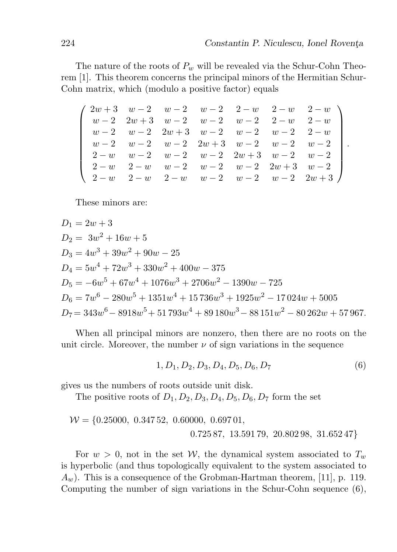.

The nature of the roots of  $P_w$  will be revealed via the Schur-Cohn Theorem [1]. This theorem concerns the principal minors of the Hermitian Schur-Cohn matrix, which (modulo a positive factor) equals

 $\begin{array}{cccc} 2w + 3 & w - 2 & w - 2 & w - 2 & 2 - w & 2 - w \end{array}$   $w-2$  2w + 3  $w-2$   $w-2$   $w-2$  2 - w 2 - w  $w-2$   $w-2$   $2w+3$   $w-2$   $w-2$   $w-2$   $2-w$  $w-2$   $w-2$   $w-2$   $2w+3$   $w-2$   $w-2$   $w-2$  $2 - w$  w - 2 w - 2 w - 2 2w + 3 w - 2 w - 2  $2 - w$  2 − w − 2 w − 2 w − 2 2w + 3 w − 2  $2 - w$  2 − w w − 2 w − 2 w − 2 2w + 3  $\setminus$ 

These minors are:

$$
D_1 = 2w + 3
$$
  
\n
$$
D_2 = 3w^2 + 16w + 5
$$
  
\n
$$
D_3 = 4w^3 + 39w^2 + 90w - 25
$$
  
\n
$$
D_4 = 5w^4 + 72w^3 + 330w^2 + 400w - 375
$$
  
\n
$$
D_5 = -6w^5 + 67w^4 + 1076w^3 + 2706w^2 - 1390w - 725
$$
  
\n
$$
D_6 = 7w^6 - 280w^5 + 1351w^4 + 15736w^3 + 1925w^2 - 17024w + 5005
$$
  
\n
$$
D_7 = 343w^6 - 8918w^5 + 51793w^4 + 89180w^3 - 88151w^2 - 80262w + 57967.
$$

When all principal minors are nonzero, then there are no roots on the unit circle. Moreover, the number  $\nu$  of sign variations in the sequence

$$
1, D_1, D_2, D_3, D_4, D_5, D_6, D_7 \tag{6}
$$

gives us the numbers of roots outside unit disk.

The positive roots of  $D_1, D_2, D_3, D_4, D_5, D_6, D_7$  form the set

$$
\mathcal{W} = \{0.25000, 0.34752, 0.60000, 0.69701, 0.72587, 13.59179, 20.80298, 31.65247\}
$$

For  $w > 0$ , not in the set W, the dynamical system associated to  $T_w$ is hyperbolic (and thus topologically equivalent to the system associated to  $A_w$ ). This is a consequence of the Grobman-Hartman theorem, [11], p. 119. Computing the number of sign variations in the Schur-Cohn sequence (6),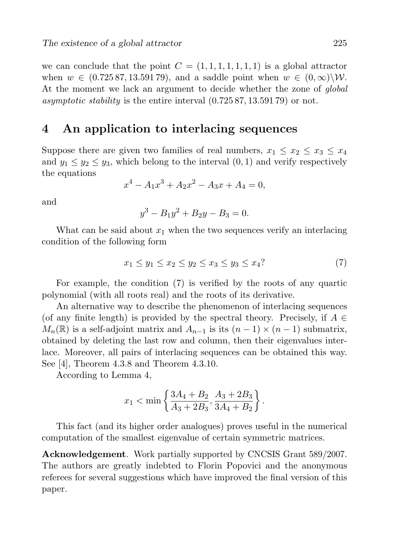we can conclude that the point  $C = (1, 1, 1, 1, 1, 1, 1)$  is a global attractor when  $w \in (0.72587, 13.59179)$ , and a saddle point when  $w \in (0, \infty) \backslash \mathcal{W}$ . At the moment we lack an argument to decide whether the zone of *global* asymptotic stability is the entire interval  $(0.72587, 13.59179)$  or not.

## 4 An application to interlacing sequences

Suppose there are given two families of real numbers,  $x_1 \leq x_2 \leq x_3 \leq x_4$ and  $y_1 \le y_2 \le y_3$ , which belong to the interval  $(0, 1)$  and verify respectively the equations

$$
x^4 - A_1 x^3 + A_2 x^2 - A_3 x + A_4 = 0,
$$

and

$$
y^3 - B_1 y^2 + B_2 y - B_3 = 0.
$$

What can be said about  $x_1$  when the two sequences verify an interlacing condition of the following form

$$
x_1 \le y_1 \le x_2 \le y_2 \le x_3 \le y_3 \le x_4
$$
 (7)

For example, the condition (7) is verified by the roots of any quartic polynomial (with all roots real) and the roots of its derivative.

An alternative way to describe the phenomenon of interlacing sequences (of any finite length) is provided by the spectral theory. Precisely, if  $A \in$  $M_n(\mathbb{R})$  is a self-adjoint matrix and  $A_{n-1}$  is its  $(n-1) \times (n-1)$  submatrix, obtained by deleting the last row and column, then their eigenvalues interlace. Moreover, all pairs of interlacing sequences can be obtained this way. See [4], Theorem 4.3.8 and Theorem 4.3.10.

According to Lemma 4,

$$
x_1 < \min\left\{\frac{3A_4 + B_2}{A_3 + 2B_3}, \frac{A_3 + 2B_3}{3A_4 + B_2}\right\}.
$$

This fact (and its higher order analogues) proves useful in the numerical computation of the smallest eigenvalue of certain symmetric matrices.

Acknowledgement. Work partially supported by CNCSIS Grant 589/2007. The authors are greatly indebted to Florin Popovici and the anonymous referees for several suggestions which have improved the final version of this paper.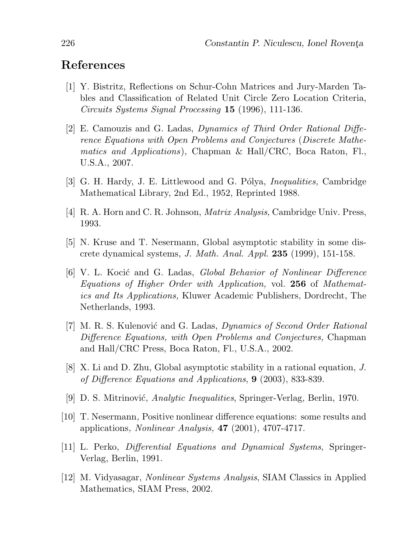## References

- [1] Y. Bistritz, Reflections on Schur-Cohn Matrices and Jury-Marden Tables and Classification of Related Unit Circle Zero Location Criteria, Circuits Systems Signal Processing 15 (1996), 111-136.
- [2] E. Camouzis and G. Ladas, Dynamics of Third Order Rational Difference Equations with Open Problems and Conjectures (Discrete Mathematics and Applications), Chapman & Hall/CRC, Boca Raton, Fl., U.S.A., 2007.
- [3] G. H. Hardy, J. E. Littlewood and G. Pólya, *Inequalities*, Cambridge Mathematical Library, 2nd Ed., 1952, Reprinted 1988.
- [4] R. A. Horn and C. R. Johnson, Matrix Analysis, Cambridge Univ. Press, 1993.
- [5] N. Kruse and T. Nesermann, Global asymptotic stability in some discrete dynamical systems, J. Math. Anal. Appl. 235 (1999), 151-158.
- [6] V. L. Kocić and G. Ladas, *Global Behavior of Nonlinear Difference* Equations of Higher Order with Application, vol. 256 of Mathematics and Its Applications, Kluwer Academic Publishers, Dordrecht, The Netherlands, 1993.
- [7] M. R. S. Kulenović and G. Ladas, *Dynamics of Second Order Rational* Difference Equations, with Open Problems and Conjectures, Chapman and Hall/CRC Press, Boca Raton, Fl., U.S.A., 2002.
- [8] X. Li and D. Zhu, Global asymptotic stability in a rational equation, J. of Difference Equations and Applications, 9 (2003), 833-839.
- [9] D. S. Mitrinović, *Analytic Inequalities*, Springer-Verlag, Berlin, 1970.
- [10] T. Nesermann, Positive nonlinear difference equations: some results and applications, Nonlinear Analysis, 47 (2001), 4707-4717.
- [11] L. Perko, Differential Equations and Dynamical Systems, Springer-Verlag, Berlin, 1991.
- [12] M. Vidyasagar, Nonlinear Systems Analysis, SIAM Classics in Applied Mathematics, SIAM Press, 2002.